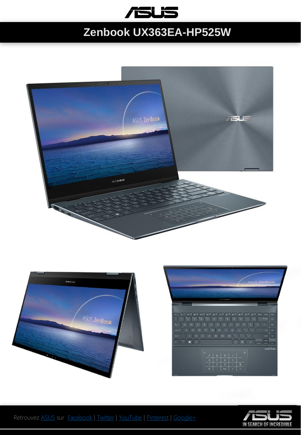

## **Zenbook UX363EA-HP525W**